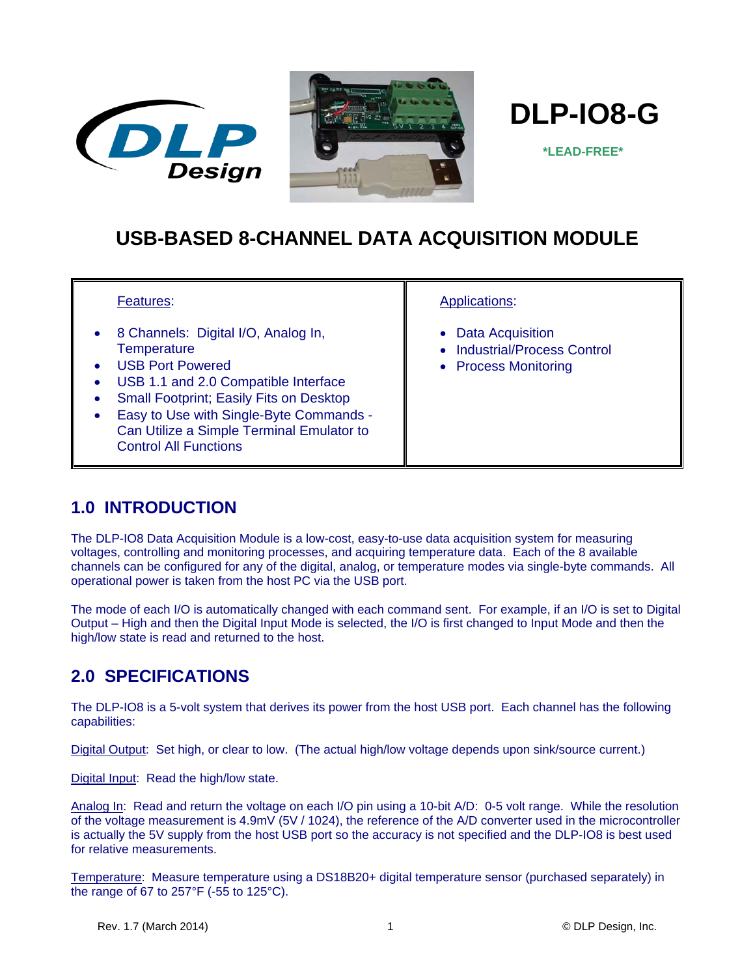





 **\*LEAD-FREE\***

# **USB-BASED 8-CHANNEL DATA ACQUISITION MODULE**

#### Features:

- 8 Channels: Digital I/O, Analog In, **Temperature**
- USB Port Powered
- USB 1.1 and 2.0 Compatible Interface
- Small Footprint; Easily Fits on Desktop
- Easy to Use with Single-Byte Commands Can Utilize a Simple Terminal Emulator to Control All Functions

#### Applications:

- Data Acquisition
- Industrial/Process Control
- Process Monitoring

### **1.0 INTRODUCTION**

The DLP-IO8 Data Acquisition Module is a low-cost, easy-to-use data acquisition system for measuring voltages, controlling and monitoring processes, and acquiring temperature data. Each of the 8 available channels can be configured for any of the digital, analog, or temperature modes via single-byte commands. All operational power is taken from the host PC via the USB port.

The mode of each I/O is automatically changed with each command sent. For example, if an I/O is set to Digital Output – High and then the Digital Input Mode is selected, the I/O is first changed to Input Mode and then the high/low state is read and returned to the host.

## **2.0 SPECIFICATIONS**

The DLP-IO8 is a 5-volt system that derives its power from the host USB port. Each channel has the following capabilities:

Digital Output: Set high, or clear to low. (The actual high/low voltage depends upon sink/source current.)

Digital Input: Read the high/low state.

Analog In: Read and return the voltage on each I/O pin using a 10-bit A/D: 0-5 volt range. While the resolution of the voltage measurement is 4.9mV (5V / 1024), the reference of the A/D converter used in the microcontroller is actually the 5V supply from the host USB port so the accuracy is not specified and the DLP-IO8 is best used for relative measurements.

Temperature: Measure temperature using a DS18B20+ digital temperature sensor (purchased separately) in the range of 67 to 257°F (-55 to 125°C).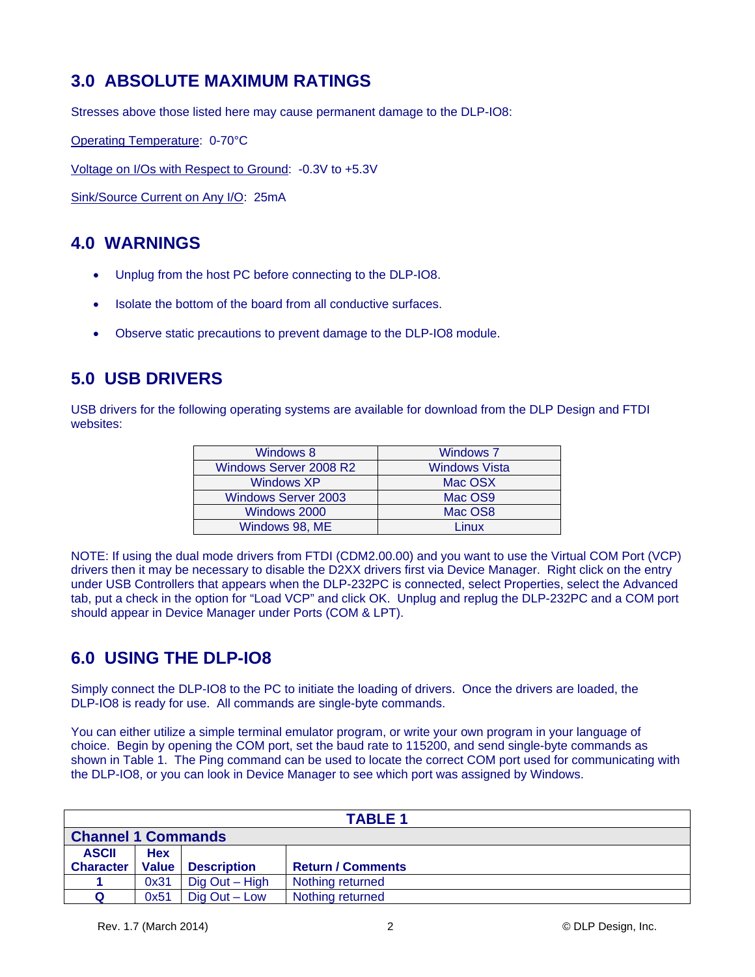## **3.0 ABSOLUTE MAXIMUM RATINGS**

Stresses above those listed here may cause permanent damage to the DLP-IO8:

Operating Temperature: 0-70°C

Voltage on I/Os with Respect to Ground: -0.3V to +5.3V

Sink/Source Current on Any I/O: 25mA

## **4.0 WARNINGS**

- Unplug from the host PC before connecting to the DLP-IO8.
- Isolate the bottom of the board from all conductive surfaces.
- Observe static precautions to prevent damage to the DLP-IO8 module.

### **5.0 USB DRIVERS**

USB drivers for the following operating systems are available for download from the DLP Design and FTDI websites:

| Windows 8                  | <b>Windows 7</b>     |
|----------------------------|----------------------|
| Windows Server 2008 R2     | <b>Windows Vista</b> |
| Windows XP                 | Mac OSX              |
| <b>Windows Server 2003</b> | Mac OS9              |
| Windows 2000               | Mac OS8              |
| Windows 98, ME             | inux                 |

NOTE: If using the dual mode drivers from FTDI (CDM2.00.00) and you want to use the Virtual COM Port (VCP) drivers then it may be necessary to disable the D2XX drivers first via Device Manager. Right click on the entry under USB Controllers that appears when the DLP-232PC is connected, select Properties, select the Advanced tab, put a check in the option for "Load VCP" and click OK. Unplug and replug the DLP-232PC and a COM port should appear in Device Manager under Ports (COM & LPT).

### **6.0 USING THE DLP-IO8**

Simply connect the DLP-IO8 to the PC to initiate the loading of drivers. Once the drivers are loaded, the DLP-IO8 is ready for use. All commands are single-byte commands.

You can either utilize a simple terminal emulator program, or write your own program in your language of choice. Begin by opening the COM port, set the baud rate to 115200, and send single-byte commands as shown in Table 1. The Ping command can be used to locate the correct COM port used for communicating with the DLP-IO8, or you can look in Device Manager to see which port was assigned by Windows.

| <b>TABLE 1</b>            |              |                    |                          |
|---------------------------|--------------|--------------------|--------------------------|
| <b>Channel 1 Commands</b> |              |                    |                          |
| <b>ASCII</b>              | <b>Hex</b>   |                    |                          |
| <b>Character</b>          | <b>Value</b> | <b>Description</b> | <b>Return / Comments</b> |
|                           | 0x31         | Dig Out - High     | Nothing returned         |
| Q                         | 0x51         | $Diq$ Out $-$ Low  | Nothing returned         |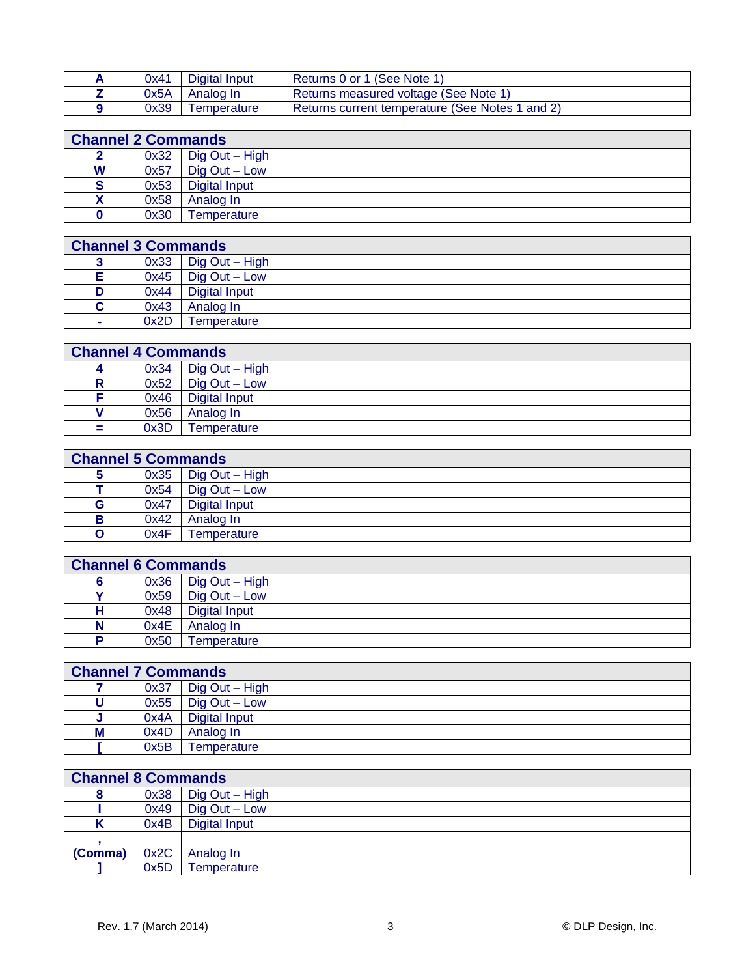| 0x41 | Digital Input      | Returns 0 or 1 (See Note 1)                     |
|------|--------------------|-------------------------------------------------|
| 0x5A | Analog In          | Returns measured voltage (See Note 1)           |
| 0x39 | <b>Femperature</b> | Returns current temperature (See Notes 1 and 2) |

| <b>Channel 2 Commands</b> |      |                      |  |  |
|---------------------------|------|----------------------|--|--|
|                           | 0x32 | Dig Out - High       |  |  |
| W                         | 0x57 | $Diq$ Out $-$ Low    |  |  |
| <b>S</b>                  | 0x53 | <b>Digital Input</b> |  |  |
|                           | 0x58 | Analog In            |  |  |
|                           | 0x30 | Temperature          |  |  |

| <b>Channel 3 Commands</b> |      |                 |  |  |
|---------------------------|------|-----------------|--|--|
|                           | 0x33 | Dig Out - High  |  |  |
|                           | 0x45 | $Diq$ Out – Low |  |  |
| D                         | 0x44 | Digital Input   |  |  |
| С                         | 0x43 | Analog In       |  |  |
| $\sim$                    | 0x2D | Temperature     |  |  |

|     | <b>Channel 4 Commands</b> |                      |  |  |  |
|-----|---------------------------|----------------------|--|--|--|
|     | 0x34                      | Dig Out - High       |  |  |  |
| R   | 0x52                      | $Diq$ Out $-$ Low    |  |  |  |
|     | 0x46                      | <b>Digital Input</b> |  |  |  |
|     | 0x56                      | Analog In            |  |  |  |
| $=$ | 0x3D                      | Temperature          |  |  |  |

|   | <b>Channel 5 Commands</b> |                         |  |  |  |
|---|---------------------------|-------------------------|--|--|--|
|   | 0x35                      | Dig Out - High          |  |  |  |
|   | 0x54                      | $\bigcup$ Dig Out – Low |  |  |  |
| G | 0x47                      | <b>Digital Input</b>    |  |  |  |
| в | 0x42                      | Analog In               |  |  |  |
| O | 0x4F                      | Temperature             |  |  |  |

|   | <b>Channel 6 Commands</b> |                      |  |  |  |
|---|---------------------------|----------------------|--|--|--|
|   | 0x36                      | Dig Out - High       |  |  |  |
|   | 0x59                      | $Diq$ Out $-$ Low    |  |  |  |
| н | 0x48                      | <b>Digital Input</b> |  |  |  |
| N | 0x4E                      | Analog In            |  |  |  |
| D | 0x50                      | Temperature          |  |  |  |

|   | <b>Channel 7 Commands</b> |                          |  |  |  |
|---|---------------------------|--------------------------|--|--|--|
|   | 0x37                      | $\bigcup$ Dig Out – High |  |  |  |
|   | 0x55                      | $Diq$ Out $-$ Low        |  |  |  |
| u | 0x4A                      | <b>Digital Input</b>     |  |  |  |
| M | 0x4D                      | Analog In                |  |  |  |
|   | 0x5B                      | Temperature              |  |  |  |

|         | <b>Channel 8 Commands</b> |                   |  |  |  |
|---------|---------------------------|-------------------|--|--|--|
|         | 0x38                      | Dig Out - High    |  |  |  |
|         | 0x49                      | $Diq$ Out $-$ Low |  |  |  |
|         | 0x4B                      | Digital Input     |  |  |  |
|         |                           |                   |  |  |  |
| (Comma) | 0x2C                      | Analog In         |  |  |  |
|         | 0x5D                      | Temperature       |  |  |  |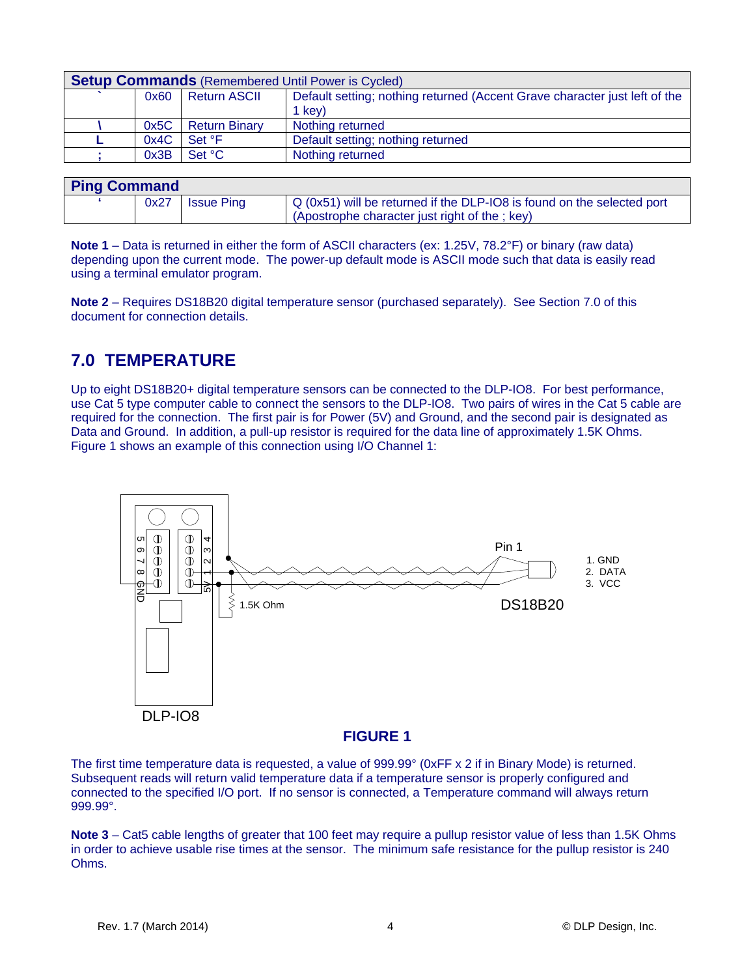| <b>Setup Commands</b> (Remembered Until Power is Cycled) |                      |                                                                            |  |
|----------------------------------------------------------|----------------------|----------------------------------------------------------------------------|--|
| 0x60                                                     | <b>Return ASCII</b>  | Default setting; nothing returned (Accent Grave character just left of the |  |
|                                                          |                      | 1 key)                                                                     |  |
| 0x5C                                                     | <b>Return Binary</b> | Nothing returned                                                           |  |
| 0x4C                                                     | Set °F               | Default setting; nothing returned                                          |  |
| 0x3B                                                     | Set °C               | Nothing returned                                                           |  |

| <b>Ping Command</b> |      |                   |                                                                                                                           |
|---------------------|------|-------------------|---------------------------------------------------------------------------------------------------------------------------|
|                     | 0x27 | <b>Issue Ping</b> | $Q$ (0x51) will be returned if the DLP-IO8 is found on the selected port<br>(Apostrophe character just right of the; key) |

**Note 1** – Data is returned in either the form of ASCII characters (ex: 1.25V, 78.2°F) or binary (raw data) depending upon the current mode. The power-up default mode is ASCII mode such that data is easily read using a terminal emulator program.

**Note 2** – Requires DS18B20 digital temperature sensor (purchased separately). See Section 7.0 of this document for connection details.

## **7.0 TEMPERATURE**

Up to eight DS18B20+ digital temperature sensors can be connected to the DLP-IO8. For best performance, use Cat 5 type computer cable to connect the sensors to the DLP-IO8. Two pairs of wires in the Cat 5 cable are required for the connection. The first pair is for Power (5V) and Ground, and the second pair is designated as Data and Ground. In addition, a pull-up resistor is required for the data line of approximately 1.5K Ohms. Figure 1 shows an example of this connection using I/O Channel 1:



#### **FIGURE 1**

The first time temperature data is requested, a value of 999.99° (0xFF x 2 if in Binary Mode) is returned. Subsequent reads will return valid temperature data if a temperature sensor is properly configured and connected to the specified I/O port. If no sensor is connected, a Temperature command will always return 999.99°.

**Note 3** – Cat5 cable lengths of greater that 100 feet may require a pullup resistor value of less than 1.5K Ohms in order to achieve usable rise times at the sensor. The minimum safe resistance for the pullup resistor is 240 Ohms.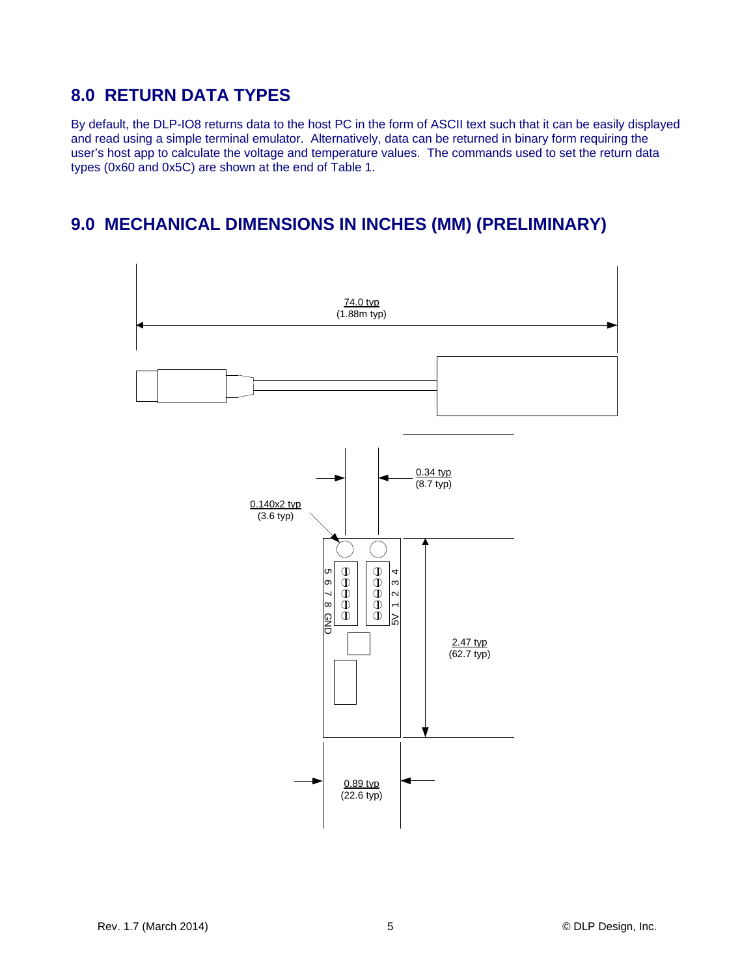## **8.0 RETURN DATA TYPES**

By default, the DLP-IO8 returns data to the host PC in the form of ASCII text such that it can be easily displayed and read using a simple terminal emulator. Alternatively, data can be returned in binary form requiring the user's host app to calculate the voltage and temperature values. The commands used to set the return data types (0x60 and 0x5C) are shown at the end of Table 1.

### **9.0 MECHANICAL DIMENSIONS IN INCHES (MM) (PRELIMINARY)**

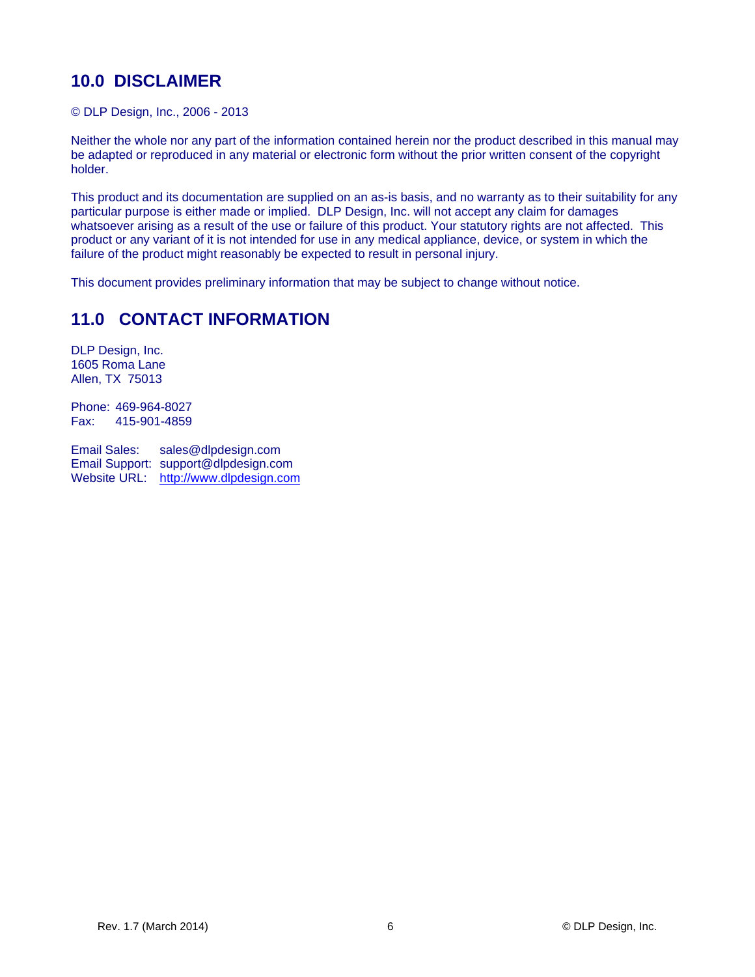## **10.0 DISCLAIMER**

© DLP Design, Inc., 2006 - 2013

Neither the whole nor any part of the information contained herein nor the product described in this manual may be adapted or reproduced in any material or electronic form without the prior written consent of the copyright holder.

This product and its documentation are supplied on an as-is basis, and no warranty as to their suitability for any particular purpose is either made or implied. DLP Design, Inc. will not accept any claim for damages whatsoever arising as a result of the use or failure of this product. Your statutory rights are not affected. This product or any variant of it is not intended for use in any medical appliance, device, or system in which the failure of the product might reasonably be expected to result in personal injury.

This document provides preliminary information that may be subject to change without notice.

## **11.0 CONTACT INFORMATION**

DLP Design, Inc. 1605 Roma Lane Allen, TX 75013

Phone: 469-964-8027 Fax: 415-901-4859

Email Sales: sales@dlpdesign.com Email Support: support@dlpdesign.com Website URL: http://www.dlpdesign.com